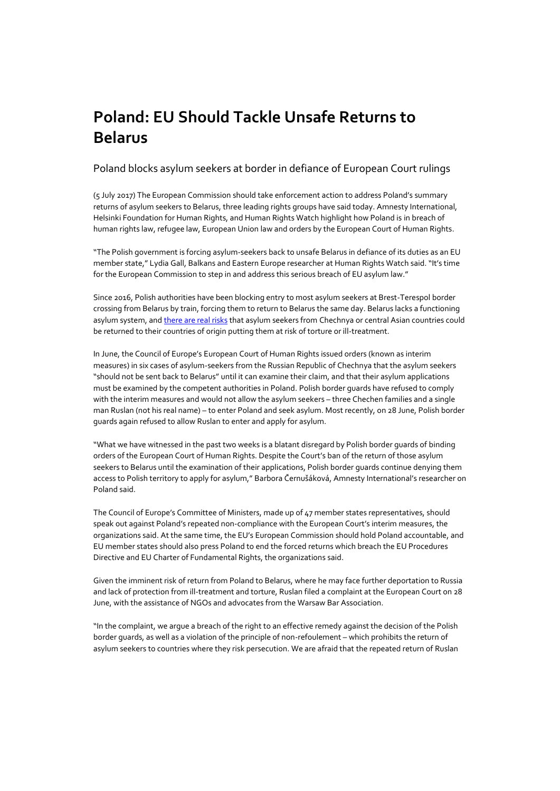## **Poland: EU Should Tackle Unsafe Returns to Belarus**

## Poland blocks asylum seekers at border in defiance of European Court rulings

(5 July 2017) The European Commission should take enforcement action to address Poland's summary returns of asylum seekers to Belarus, three leading rights groups have said today. Amnesty International, Helsinki Foundation for Human Rights, and Human Rights Watch highlight how Poland is in breach of human rights law, refugee law, European Union law and orders by the European Court of Human Rights.

"The Polish government is forcing asylum-seekers back to unsafe Belarus in defiance of its duties as an EU member state," Lydia Gall, Balkans and Eastern Europe researcher at Human Rights Watch said. "It's time for the European Commission to step in and address this serious breach of EU asylum law."

Since 2016, Polish authorities have been blocking entry to most asylum seekers at Brest-Terespol border crossing from Belarus by train, forcing them to return to Belarus the same day. Belarus lacks a functioning asylum system, an[d there are real risks](https://www.hrw.org/news/2016/10/18/eus-latest-bid-curb-migration) that asylum seekers from Chechnya or central Asian countries could be returned to their countries of origin putting them at risk of torture or ill-treatment.

In June, the Council of Europe's European Court of Human Rights issued orders (known as interim measures) in six cases of asylum-seekers from the Russian Republic of Chechnya that the asylum seekers "should not be sent back to Belarus" until it can examine their claim, and that their asylum applications must be examined by the competent authorities in Poland. Polish border guards have refused to comply with the interim measures and would not allow the asylum seekers – three Chechen families and a single man Ruslan (not his real name) – to enter Poland and seek asylum. Most recently, on 28 June, Polish border guards again refused to allow Ruslan to enter and apply for asylum.

"What we have witnessed in the past two weeks is a blatant disregard by Polish border guards of binding orders of the European Court of Human Rights. Despite the Court's ban of the return of those asylum seekers to Belarus until the examination of their applications, Polish border guards continue denying them access to Polish territory to apply for asylum," Barbora Černušáková, Amnesty International's researcher on Poland said.

The Council of Europe's Committee of Ministers, made up of 47 member states representatives, should speak out against Poland's repeated non-compliance with the European Court's interim measures, the organizations said. At the same time, the EU's European Commission should hold Poland accountable, and EU member states should also press Poland to end the forced returns which breach the EU Procedures Directive and EU Charter of Fundamental Rights, the organizations said.

Given the imminent risk of return from Poland to Belarus, where he may face further deportation to Russia and lack of protection from ill-treatment and torture, Ruslan filed a complaint at the European Court on 28 June, with the assistance of NGOs and advocates from the Warsaw Bar Association.

"In the complaint, we argue a breach of the right to an effective remedy against the decision of the Polish border guards, as well as a violation of the principle of non-refoulement – which prohibits the return of asylum seekers to countries where they risk persecution. We are afraid that the repeated return of Ruslan